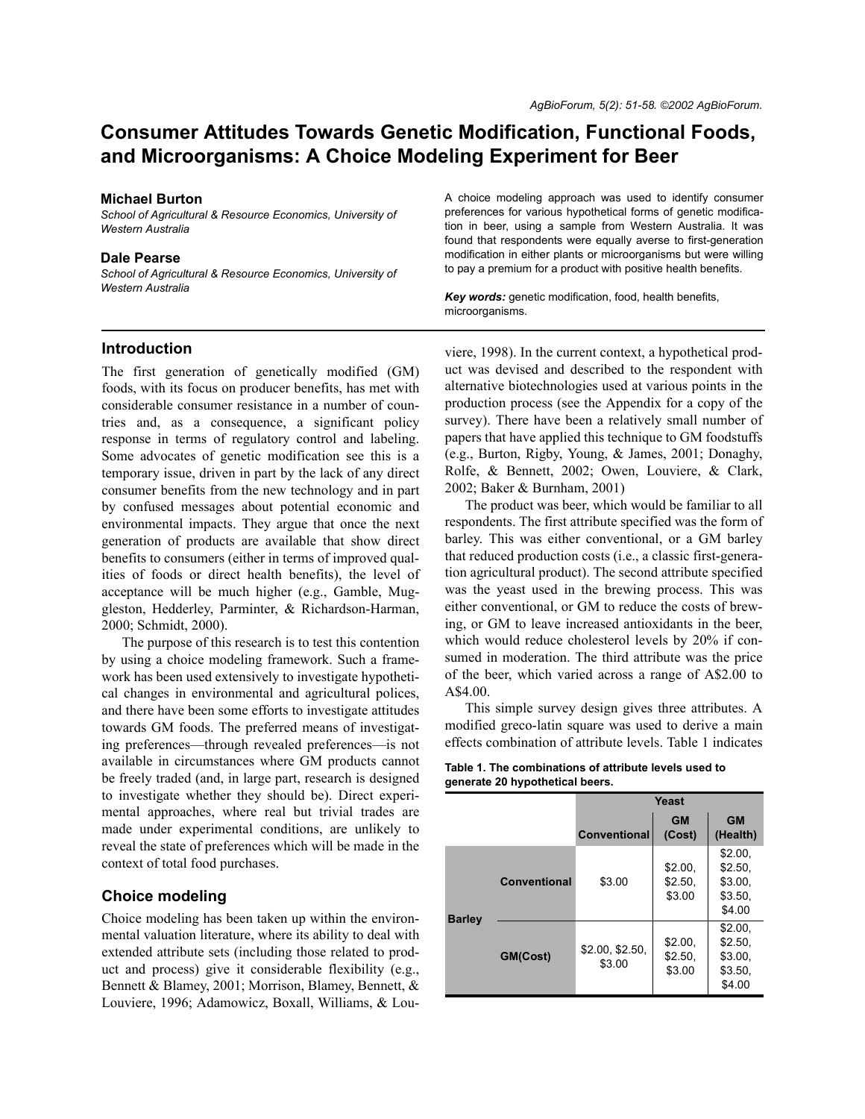# **Consumer Attitudes Towards Genetic Modification, Functional Foods, and Microorganisms: A Choice Modeling Experiment for Beer**

#### **Michael Burton**

*School of Agricultural & Resource Economics, University of Western Australia*

#### **Dale Pearse**

*School of Agricultural & Resource Economics, University of Western Australia*

A choice modeling approach was used to identify consumer preferences for various hypothetical forms of genetic modification in beer, using a sample from Western Australia. It was found that respondents were equally averse to first-generation modification in either plants or microorganisms but were willing to pay a premium for a product with positive health benefits.

*Key words:* genetic modification, food, health benefits, microorganisms.

## **Introduction**

The first generation of genetically modified (GM) foods, with its focus on producer benefits, has met with considerable consumer resistance in a number of countries and, as a consequence, a significant policy response in terms of regulatory control and labeling. Some advocates of genetic modification see this is a temporary issue, driven in part by the lack of any direct consumer benefits from the new technology and in part by confused messages about potential economic and environmental impacts. They argue that once the next generation of products are available that show direct benefits to consumers (either in terms of improved qualities of foods or direct health benefits), the level of acceptance will be much higher (e.g., Gamble, Muggleston, Hedderley, Parminter, & Richardson-Harman, 2000; Schmidt, 2000).

The purpose of this research is to test this contention by using a choice modeling framework. Such a framework has been used extensively to investigate hypothetical changes in environmental and agricultural polices, and there have been some efforts to investigate attitudes towards GM foods. The preferred means of investigating preferences—through revealed preferences—is not available in circumstances where GM products cannot be freely traded (and, in large part, research is designed to investigate whether they should be). Direct experimental approaches, where real but trivial trades are made under experimental conditions, are unlikely to reveal the state of preferences which will be made in the context of total food purchases.

# **Choice modeling**

Choice modeling has been taken up within the environmental valuation literature, where its ability to deal with extended attribute sets (including those related to product and process) give it considerable flexibility (e.g., Bennett & Blamey, 2001; Morrison, Blamey, Bennett, & Louviere, 1996; Adamowicz, Boxall, Williams, & Lou-

viere, 1998). In the current context, a hypothetical product was devised and described to the respondent with alternative biotechnologies used at various points in the production process (see the Appendix for a copy of the survey). There have been a relatively small number of papers that have applied this technique to GM foodstuffs (e.g., Burton, Rigby, Young, & James, 2001; Donaghy, Rolfe, & Bennett, 2002; Owen, Louviere, & Clark, 2002; Baker & Burnham, 2001)

The product was beer, which would be familiar to all respondents. The first attribute specified was the form of barley. This was either conventional, or a GM barley that reduced production costs (i.e., a classic first-generation agricultural product). The second attribute specified was the yeast used in the brewing process. This was either conventional, or GM to reduce the costs of brewing, or GM to leave increased antioxidants in the beer, which would reduce cholesterol levels by 20% if consumed in moderation. The third attribute was the price of the beer, which varied across a range of A\$2.00 to A\$4.00.

This simple survey design gives three attributes. A modified greco-latin square was used to derive a main effects combination of attribute levels. Table 1 indicates

| Table 1. The combinations of attribute levels used to |  |
|-------------------------------------------------------|--|
| generate 20 hypothetical beers.                       |  |

|               |              | Yeast                     |                              |                                                    |
|---------------|--------------|---------------------------|------------------------------|----------------------------------------------------|
|               |              | <b>Conventional</b>       | <b>GM</b><br>(Cost)          | <b>GM</b><br>(Health)                              |
|               | Conventional | \$3.00                    | \$2.00,<br>\$2.50,<br>\$3.00 | \$2.00.<br>\$2.50,<br>\$3.00,<br>\$3.50,<br>\$4.00 |
| <b>Barley</b> | GM(Cost)     | \$2.00, \$2.50,<br>\$3.00 | \$2.00,<br>\$2.50,<br>\$3.00 | \$2.00,<br>\$2.50,<br>\$3.00,<br>\$3.50,<br>\$4.00 |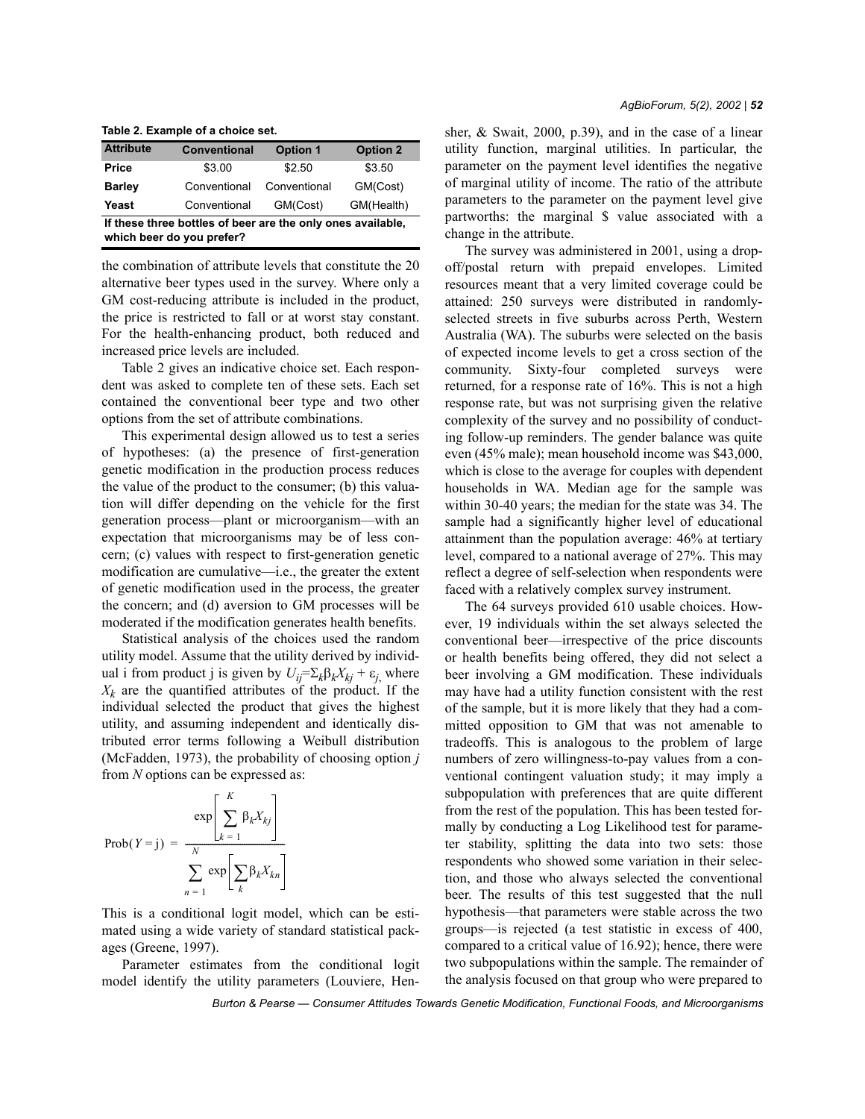**Table 2. Example of a choice set.**

| <b>Attribute</b>                                                                         | <b>Conventional</b> | <b>Option 1</b> | <b>Option 2</b> |  |
|------------------------------------------------------------------------------------------|---------------------|-----------------|-----------------|--|
| Price                                                                                    | \$3.00              | \$2.50          | \$3.50          |  |
| <b>Barley</b>                                                                            | Conventional        | Conventional    | GM(Cost)        |  |
| Yeast                                                                                    | Conventional        | GM(Cost)        | GM(Health)      |  |
| If these three bottles of beer are the only ones available,<br>which beer do you prefer? |                     |                 |                 |  |

the combination of attribute levels that constitute the 20 alternative beer types used in the survey. Where only a GM cost-reducing attribute is included in the product, the price is restricted to fall or at worst stay constant. For the health-enhancing product, both reduced and increased price levels are included.

Table 2 gives an indicative choice set. Each respondent was asked to complete ten of these sets. Each set contained the conventional beer type and two other options from the set of attribute combinations.

This experimental design allowed us to test a series of hypotheses: (a) the presence of first-generation genetic modification in the production process reduces the value of the product to the consumer; (b) this valuation will differ depending on the vehicle for the first generation process—plant or microorganism—with an expectation that microorganisms may be of less concern; (c) values with respect to first-generation genetic modification are cumulative—i.e., the greater the extent of genetic modification used in the process, the greater the concern; and (d) aversion to GM processes will be moderated if the modification generates health benefits.

Statistical analysis of the choices used the random utility model. Assume that the utility derived by individual i from product j is given by  $U_{ij} = \sum_k \beta_k X_{kj} + \varepsilon_j$ , where  $X_k$  are the quantified attributes of the product. If the individual selected the product that gives the highest utility, and assuming independent and identically distributed error terms following a Weibull distribution (McFadden, 1973), the probability of choosing option *j* from *N* options can be expressed as:

$$
\text{Prob}(Y = j) = \frac{\exp\left[\sum_{k=1}^{K} \beta_k X_{kj}\right]}{\sum_{n=1}^{N} \exp\left[\sum_{k} \beta_k X_{kn}\right]}
$$

This is a conditional logit model, which can be estimated using a wide variety of standard statistical packages (Greene, 1997).

Parameter estimates from the conditional logit model identify the utility parameters (Louviere, Hensher, & Swait, 2000, p.39), and in the case of a linear utility function, marginal utilities. In particular, the parameter on the payment level identifies the negative of marginal utility of income. The ratio of the attribute parameters to the parameter on the payment level give partworths: the marginal \$ value associated with a change in the attribute.

The survey was administered in 2001, using a dropoff/postal return with prepaid envelopes. Limited resources meant that a very limited coverage could be attained: 250 surveys were distributed in randomlyselected streets in five suburbs across Perth, Western Australia (WA). The suburbs were selected on the basis of expected income levels to get a cross section of the community. Sixty-four completed surveys were returned, for a response rate of 16%. This is not a high response rate, but was not surprising given the relative complexity of the survey and no possibility of conducting follow-up reminders. The gender balance was quite even (45% male); mean household income was \$43,000, which is close to the average for couples with dependent households in WA. Median age for the sample was within 30-40 years; the median for the state was 34. The sample had a significantly higher level of educational attainment than the population average: 46% at tertiary level, compared to a national average of 27%. This may reflect a degree of self-selection when respondents were faced with a relatively complex survey instrument.

The 64 surveys provided 610 usable choices. However, 19 individuals within the set always selected the conventional beer—irrespective of the price discounts or health benefits being offered, they did not select a beer involving a GM modification. These individuals may have had a utility function consistent with the rest of the sample, but it is more likely that they had a committed opposition to GM that was not amenable to tradeoffs. This is analogous to the problem of large numbers of zero willingness-to-pay values from a conventional contingent valuation study; it may imply a subpopulation with preferences that are quite different from the rest of the population. This has been tested formally by conducting a Log Likelihood test for parameter stability, splitting the data into two sets: those respondents who showed some variation in their selection, and those who always selected the conventional beer. The results of this test suggested that the null hypothesis—that parameters were stable across the two groups—is rejected (a test statistic in excess of  $400$ , compared to a critical value of 16.92); hence, there were two subpopulations within the sample. The remainder of the analysis focused on that group who were prepared to

*Burton & Pearse — Consumer Attitudes Towards Genetic Modification, Functional Foods, and Microorganisms*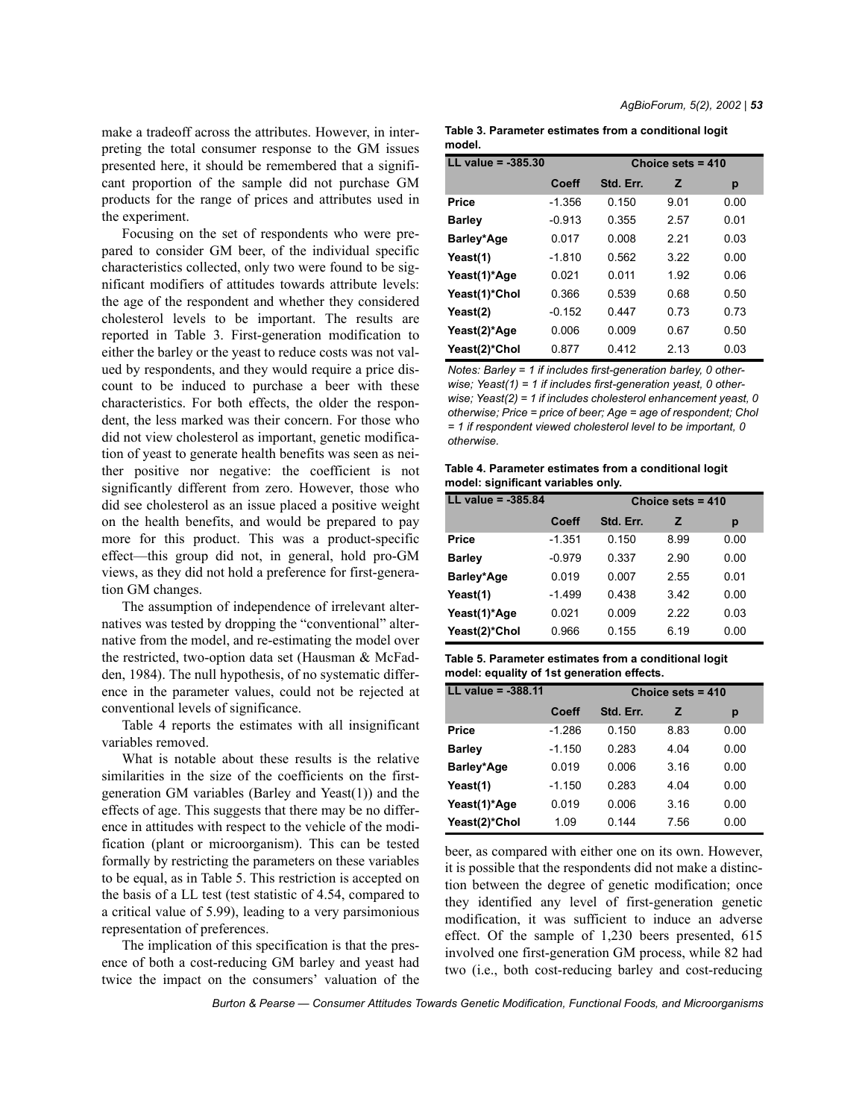make a tradeoff across the attributes. However, in interpreting the total consumer response to the GM issues presented here, it should be remembered that a significant proportion of the sample did not purchase GM products for the range of prices and attributes used in the experiment.

Focusing on the set of respondents who were prepared to consider GM beer, of the individual specific characteristics collected, only two were found to be significant modifiers of attitudes towards attribute levels: the age of the respondent and whether they considered cholesterol levels to be important. The results are reported in Table 3. First-generation modification to either the barley or the yeast to reduce costs was not valued by respondents, and they would require a price discount to be induced to purchase a beer with these characteristics. For both effects, the older the respondent, the less marked was their concern. For those who did not view cholesterol as important, genetic modification of yeast to generate health benefits was seen as neither positive nor negative: the coefficient is not significantly different from zero. However, those who did see cholesterol as an issue placed a positive weight on the health benefits, and would be prepared to pay more for this product. This was a product-specific  $effect$ —this group did not, in general, hold pro-GM views, as they did not hold a preference for first-generation GM changes.

The assumption of independence of irrelevant alternatives was tested by dropping the "conventional" alternative from the model, and re-estimating the model over the restricted, two-option data set (Hausman & McFadden, 1984). The null hypothesis, of no systematic difference in the parameter values, could not be rejected at conventional levels of significance.

Table 4 reports the estimates with all insignificant variables removed.

What is notable about these results is the relative similarities in the size of the coefficients on the firstgeneration GM variables (Barley and Yeast(1)) and the effects of age. This suggests that there may be no difference in attitudes with respect to the vehicle of the modification (plant or microorganism). This can be tested formally by restricting the parameters on these variables to be equal, as in Table 5. This restriction is accepted on the basis of a LL test (test statistic of 4.54, compared to a critical value of 5.99), leading to a very parsimonious representation of preferences.

The implication of this specification is that the presence of both a cost-reducing GM barley and yeast had twice the impact on the consumers' valuation of the

| Table 3. Parameter estimates from a conditional logit |  |
|-------------------------------------------------------|--|
| model.                                                |  |

| $LL$ value = $-385.30$ | Choice sets $= 410$ |           |      |      |
|------------------------|---------------------|-----------|------|------|
|                        | Coeff               | Std. Err. | z    | р    |
| Price                  | $-1.356$            | 0.150     | 9.01 | 0.00 |
| <b>Barley</b>          | $-0.913$            | 0.355     | 2.57 | 0.01 |
| Barley*Age             | 0.017               | 0.008     | 221  | 0.03 |
| Yeast(1)               | $-1.810$            | 0.562     | 322  | 0.00 |
| Yeast(1)*Age           | 0 021               | 0 0 1 1   | 1.92 | 0.06 |
| Yeast(1)*Chol          | 0.366               | 0.539     | 0.68 | 0.50 |
| Yeast(2)               | $-0.152$            | 0.447     | 0.73 | 0.73 |
| Yeast(2)*Age           | 0.006               | 0.009     | 0.67 | 0.50 |
| Yeast(2)*Chol          | 0.877               | 0.412     | 2 13 | 0.03 |

*Notes: Barley = 1 if includes first-generation barley, 0 otherwise; Yeast(1) = 1 if includes first-generation yeast, 0 otherwise; Yeast(2) = 1 if includes cholesterol enhancement yeast, 0 otherwise; Price = price of beer; Age = age of respondent; Chol = 1 if respondent viewed cholesterol level to be important, 0 otherwise.*

**Table 4. Parameter estimates from a conditional logit model: significant variables only.**

| LL value = $-385.84$ |          | Choice sets $= 410$ |      |      |
|----------------------|----------|---------------------|------|------|
|                      | Coeff    | Std. Err.           | z    | р    |
| <b>Price</b>         | $-1.351$ | 0.150               | 8.99 | 0.00 |
| <b>Barley</b>        | $-0.979$ | 0.337               | 2.90 | 0.00 |
| Barley*Age           | 0.019    | 0.007               | 2.55 | 0.01 |
| Yeast(1)             | $-1.499$ | 0.438               | 3.42 | 0.00 |
| Yeast(1)*Age         | 0.021    | 0.009               | 222  | 0.03 |
| Yeast(2)*Chol        | 0.966    | 0.155               | 6.19 | 0.00 |

**Table 5. Parameter estimates from a conditional logit model: equality of 1st generation effects.**

| LL value = $-388.11$ |          | Choice sets = 410 |      |      |
|----------------------|----------|-------------------|------|------|
|                      | Coeff    | Std. Err.         | z    | р    |
| <b>Price</b>         | $-1.286$ | 0.150             | 8.83 | 0.00 |
| <b>Barley</b>        | $-1.150$ | 0.283             | 4.04 | 0.00 |
| Barley*Age           | 0.019    | 0.006             | 3.16 | 0.00 |
| Yeast(1)             | $-1.150$ | 0.283             | 4.04 | 0.00 |
| Yeast(1)*Age         | 0.019    | 0.006             | 3.16 | 0.00 |
| Yeast(2)*Chol        | 1.09     | 0.144             | 7.56 | 0.00 |

beer, as compared with either one on its own. However, it is possible that the respondents did not make a distinction between the degree of genetic modification; once they identified any level of first-generation genetic modification, it was sufficient to induce an adverse effect. Of the sample of 1,230 beers presented, 615 involved one first-generation GM process, while 82 had two (i.e., both cost-reducing barley and cost-reducing

*Burton & Pearse — Consumer Attitudes Towards Genetic Modification, Functional Foods, and Microorganisms*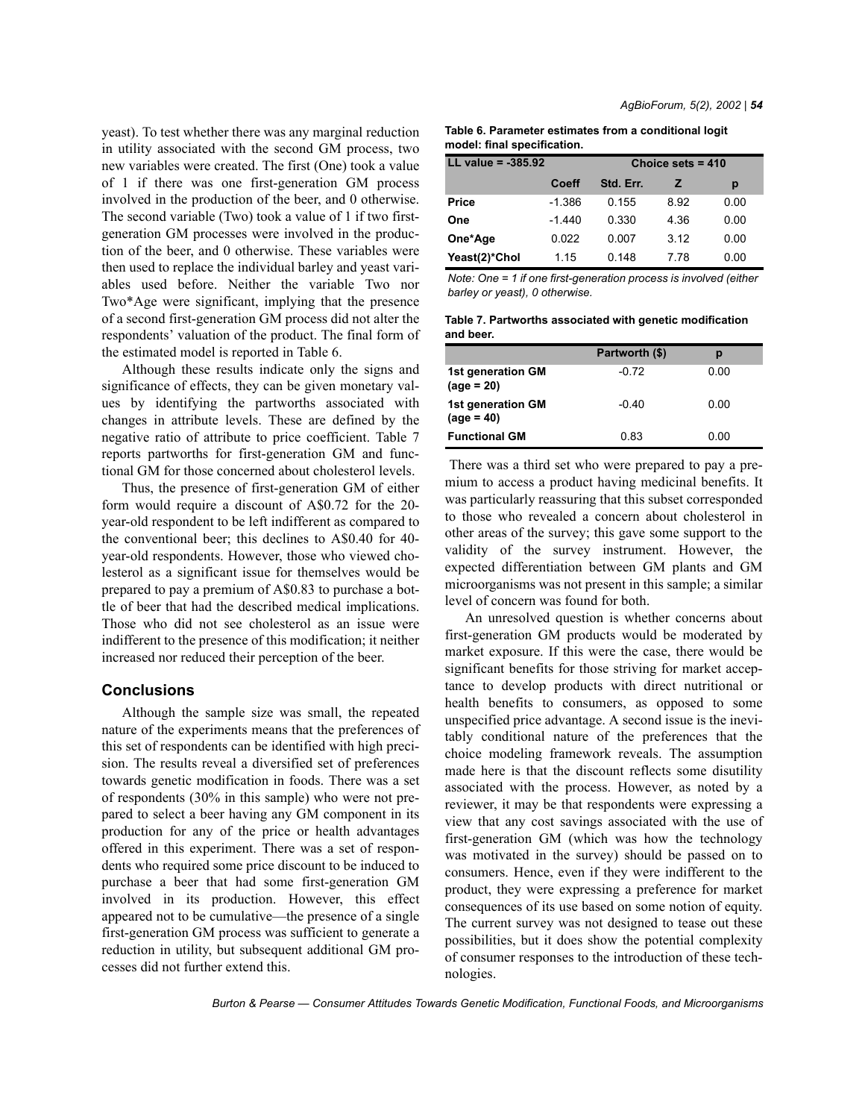yeast). To test whether there was any marginal reduction in utility associated with the second GM process, two new variables were created. The first (One) took a value of 1 if there was one first-generation GM process involved in the production of the beer, and 0 otherwise. The second variable (Two) took a value of 1 if two firstgeneration GM processes were involved in the production of the beer, and 0 otherwise. These variables were then used to replace the individual barley and yeast variables used before. Neither the variable Two nor Two\*Age were significant, implying that the presence of a second first-generation GM process did not alter the respondents' valuation of the product. The final form of the estimated model is reported in Table 6.

Although these results indicate only the signs and significance of effects, they can be given monetary values by identifying the partworths associated with changes in attribute levels. These are defined by the negative ratio of attribute to price coefficient. Table 7 reports partworths for first-generation GM and functional GM for those concerned about cholesterol levels.

Thus, the presence of first-generation GM of either form would require a discount of A\$0.72 for the 20 year-old respondent to be left indifferent as compared to the conventional beer; this declines to A\$0.40 for 40 year-old respondents. However, those who viewed cholesterol as a significant issue for themselves would be prepared to pay a premium of A\$0.83 to purchase a bottle of beer that had the described medical implications. Those who did not see cholesterol as an issue were indifferent to the presence of this modification; it neither increased nor reduced their perception of the beer.

### **Conclusions**

Although the sample size was small, the repeated nature of the experiments means that the preferences of this set of respondents can be identified with high precision. The results reveal a diversified set of preferences towards genetic modification in foods. There was a set of respondents (30% in this sample) who were not prepared to select a beer having any GM component in its production for any of the price or health advantages offered in this experiment. There was a set of respondents who required some price discount to be induced to purchase a beer that had some first-generation GM involved in its production. However, this effect appeared not to be cumulative—the presence of a single first-generation GM process was sufficient to generate a reduction in utility, but subsequent additional GM processes did not further extend this.

| Table 6. Parameter estimates from a conditional logit |  |
|-------------------------------------------------------|--|
| model: final specification.                           |  |

| LL value = $-385.92$ | Choice sets $= 410$ |           |      |      |
|----------------------|---------------------|-----------|------|------|
|                      | Coeff               | Std. Err. | z    | р    |
| <b>Price</b>         | $-1.386$            | 0.155     | 8.92 | 0.00 |
| One                  | $-1.440$            | 0.330     | 4.36 | 0.00 |
| One*Age              | 0.022               | 0.007     | 312  | 0.00 |
| Yeast(2)*Chol        | 1.15                | 0.148     | 7 78 | 0.00 |

*Note: One = 1 if one first-generation process is involved (either barley or yeast), 0 otherwise.*

**Table 7. Partworths associated with genetic modification and beer.**

|                                    | Partworth (\$) | р    |
|------------------------------------|----------------|------|
| 1st generation GM<br>$(aq e = 20)$ | -0.72          | 0.00 |
| 1st generation GM<br>$(age = 40)$  | $-0.40$        | 0.00 |
| <b>Functional GM</b>               | 0.83           | 0.00 |

 There was a third set who were prepared to pay a premium to access a product having medicinal benefits. It was particularly reassuring that this subset corresponded to those who revealed a concern about cholesterol in other areas of the survey; this gave some support to the validity of the survey instrument. However, the expected differentiation between GM plants and GM microorganisms was not present in this sample; a similar level of concern was found for both.

An unresolved question is whether concerns about first-generation GM products would be moderated by market exposure. If this were the case, there would be significant benefits for those striving for market acceptance to develop products with direct nutritional or health benefits to consumers, as opposed to some unspecified price advantage. A second issue is the inevitably conditional nature of the preferences that the choice modeling framework reveals. The assumption made here is that the discount reflects some disutility associated with the process. However, as noted by a reviewer, it may be that respondents were expressing a view that any cost savings associated with the use of first-generation GM (which was how the technology was motivated in the survey) should be passed on to consumers. Hence, even if they were indifferent to the product, they were expressing a preference for market consequences of its use based on some notion of equity. The current survey was not designed to tease out these possibilities, but it does show the potential complexity of consumer responses to the introduction of these technologies.

Burton & Pearse – Consumer Attitudes Towards Genetic Modification, Functional Foods, and Microorganisms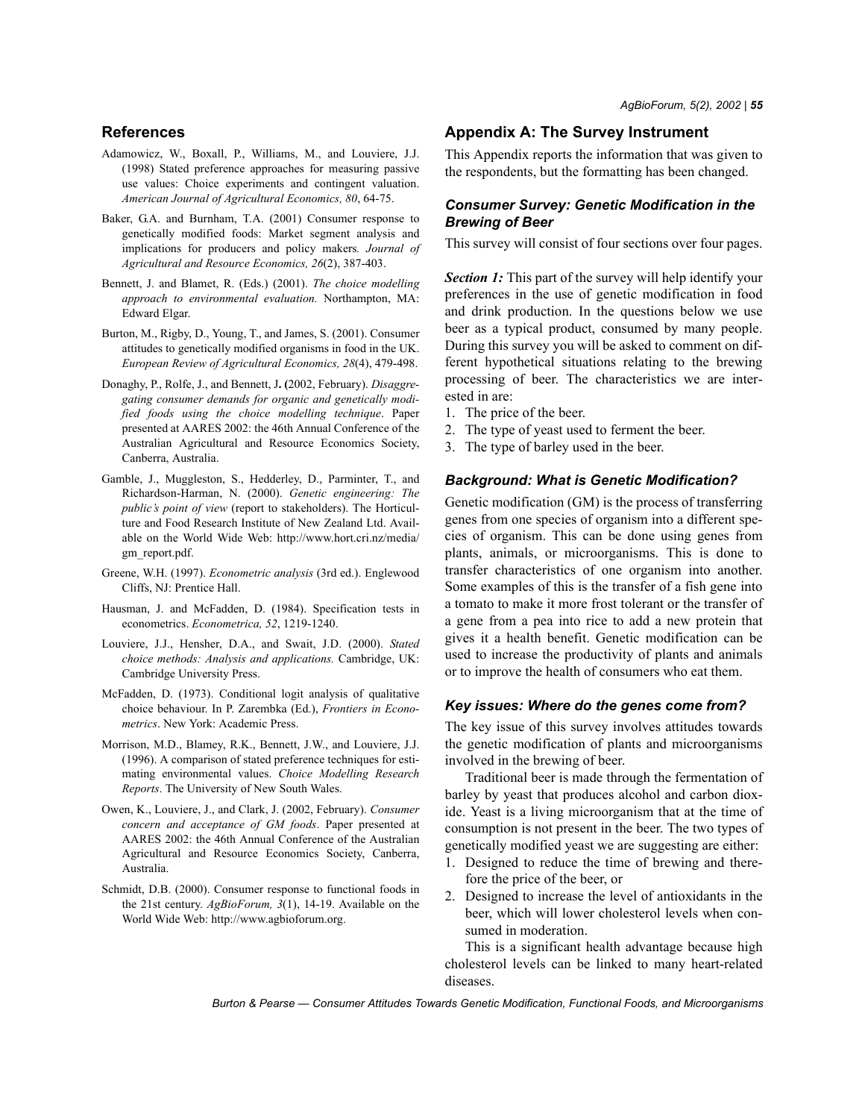## **References**

- Adamowicz, W., Boxall, P., Williams, M., and Louviere, J.J. (1998) Stated preference approaches for measuring passive use values: Choice experiments and contingent valuation. *American Journal of Agricultural Economics, 80*, 64-75.
- Baker, G.A. and Burnham, T.A. (2001) Consumer response to genetically modified foods: Market segment analysis and implications for producers and policy makers*. Journal of Agricultural and Resource Economics, 26*(2), 387-403.
- Bennett, J. and Blamet, R. (Eds.) (2001). *The choice modelling approach to environmental evaluation.* Northampton, MA: Edward Elgar.
- Burton, M., Rigby, D., Young, T., and James, S. (2001). Consumer attitudes to genetically modified organisms in food in the UK. *European Review of Agricultural Economics, 28*(4), 479-498.
- Donaghy, P., Rolfe, J., and Bennett, J**. (**2002, February). *Disaggregating consumer demands for organic and genetically modified foods using the choice modelling technique*. Paper presented at AARES 2002: the 46th Annual Conference of the Australian Agricultural and Resource Economics Society, Canberra, Australia.
- Gamble, J., Muggleston, S., Hedderley, D., Parminter, T., and Richardson-Harman, N. (2000). *Genetic engineering: The public's point of view* (report to stakeholders). The Horticulture and Food Research Institute of New Zealand Ltd. Available on the World Wide Web: http://www.hort.cri.nz/media/ gm\_report.pdf.
- Greene, W.H. (1997). *Econometric analysis* (3rd ed.). Englewood Cliffs, NJ: Prentice Hall.
- Hausman, J. and McFadden, D. (1984). Specification tests in econometrics. *Econometrica, 52*, 1219-1240.
- Louviere, J.J., Hensher, D.A., and Swait, J.D. (2000). *Stated choice methods: Analysis and applications.* Cambridge, UK: Cambridge University Press.
- McFadden, D. (1973). Conditional logit analysis of qualitative choice behaviour. In P. Zarembka (Ed.), *Frontiers in Econometrics*. New York: Academic Press.
- Morrison, M.D., Blamey, R.K., Bennett, J.W., and Louviere, J.J. (1996). A comparison of stated preference techniques for estimating environmental values. *Choice Modelling Research Reports*. The University of New South Wales.
- Owen, K., Louviere, J., and Clark, J. (2002, February). *Consumer concern and acceptance of GM foods*. Paper presented at AARES 2002: the 46th Annual Conference of the Australian Agricultural and Resource Economics Society, Canberra, Australia.
- Schmidt, D.B. (2000). Consumer response to functional foods in the 21st century. *AgBioForum, 3*(1), 14-19. Available on the World Wide Web: http://www.agbioforum.org.

# **Appendix A: The Survey Instrument**

This Appendix reports the information that was given to the respondents, but the formatting has been changed.

## *Consumer Survey: Genetic Modification in the Brewing of Beer*

This survey will consist of four sections over four pages.

**Section 1:** This part of the survey will help identify your preferences in the use of genetic modification in food and drink production. In the questions below we use beer as a typical product, consumed by many people. During this survey you will be asked to comment on different hypothetical situations relating to the brewing processing of beer. The characteristics we are interested in are:

- 1. The price of the beer.
- 2. The type of yeast used to ferment the beer.
- 3. The type of barley used in the beer.

#### *Background: What is Genetic Modification?*

Genetic modification (GM) is the process of transferring genes from one species of organism into a different species of organism. This can be done using genes from plants, animals, or microorganisms. This is done to transfer characteristics of one organism into another. Some examples of this is the transfer of a fish gene into a tomato to make it more frost tolerant or the transfer of a gene from a pea into rice to add a new protein that gives it a health benefit. Genetic modification can be used to increase the productivity of plants and animals or to improve the health of consumers who eat them.

#### *Key issues: Where do the genes come from?*

The key issue of this survey involves attitudes towards the genetic modification of plants and microorganisms involved in the brewing of beer.

Traditional beer is made through the fermentation of barley by yeast that produces alcohol and carbon dioxide. Yeast is a living microorganism that at the time of consumption is not present in the beer. The two types of genetically modified yeast we are suggesting are either:

- 1. Designed to reduce the time of brewing and therefore the price of the beer, or
- 2. Designed to increase the level of antioxidants in the beer, which will lower cholesterol levels when consumed in moderation.

This is a significant health advantage because high cholesterol levels can be linked to many heart-related diseases.

Burton & Pearse – Consumer Attitudes Towards Genetic Modification, Functional Foods, and Microorganisms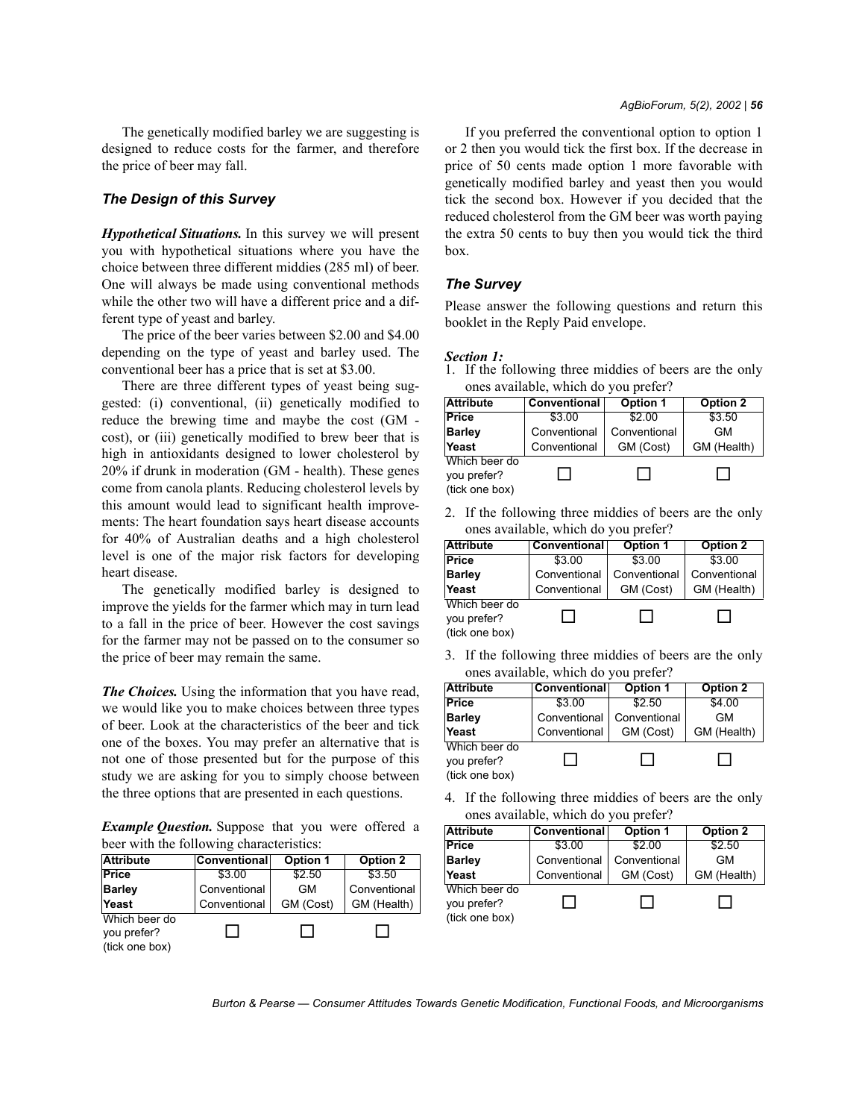The genetically modified barley we are suggesting is designed to reduce costs for the farmer, and therefore the price of beer may fall.

### *The Design of this Survey*

*Hypothetical Situations.* In this survey we will present you with hypothetical situations where you have the choice between three different middies (285 ml) of beer. One will always be made using conventional methods while the other two will have a different price and a different type of yeast and barley.

The price of the beer varies between \$2.00 and \$4.00 depending on the type of yeast and barley used. The conventional beer has a price that is set at \$3.00.

There are three different types of yeast being suggested: (i) conventional, (ii) genetically modified to reduce the brewing time and maybe the cost (GM cost), or (iii) genetically modified to brew beer that is high in antioxidants designed to lower cholesterol by 20% if drunk in moderation (GM - health). These genes come from canola plants. Reducing cholesterol levels by this amount would lead to significant health improvements: The heart foundation says heart disease accounts for 40% of Australian deaths and a high cholesterol level is one of the major risk factors for developing heart disease.

The genetically modified barley is designed to improve the yields for the farmer which may in turn lead to a fall in the price of beer. However the cost savings for the farmer may not be passed on to the consumer so the price of beer may remain the same.

*The Choices.* Using the information that you have read, we would like you to make choices between three types of beer. Look at the characteristics of the beer and tick one of the boxes. You may prefer an alternative that is not one of those presented but for the purpose of this study we are asking for you to simply choose between the three options that are presented in each questions.

*Example Question.* Suppose that you were offered a beer with the following characteristics:

| <b>Attribute</b>                               | Conventional | Option 1  | Option 2     |
|------------------------------------------------|--------------|-----------|--------------|
| <b>Price</b>                                   | \$3.00       | \$2.50    | \$3.50       |
| <b>Barley</b>                                  | Conventional | <b>GM</b> | Conventional |
| Yeast                                          | Conventional | GM (Cost) | GM (Health)  |
| Which beer do<br>you prefer?<br>(tick one box) |              |           |              |

If you preferred the conventional option to option 1 or 2 then you would tick the first box. If the decrease in price of 50 cents made option 1 more favorable with genetically modified barley and yeast then you would tick the second box. However if you decided that the reduced cholesterol from the GM beer was worth paying the extra 50 cents to buy then you would tick the third box.

#### *The Survey*

Please answer the following questions and return this booklet in the Reply Paid envelope.

#### *Section 1:*

1. If the following three middies of beers are the only ones available, which do you prefer?

| <b>Attribute</b>             | Conventional | Option 1     | Option 2    |
|------------------------------|--------------|--------------|-------------|
| <b>Price</b>                 | \$3.00       | \$2.00       | \$3.50      |
| <b>Barley</b>                | Conventional | Conventional | GM          |
| Yeast                        | Conventional | GM (Cost)    | GM (Health) |
| Which beer do<br>you prefer? | r L          |              |             |
| (tick one box)               |              |              |             |

2. If the following three middies of beers are the only ones available, which do you prefer?

| <b>Attribute</b>                               | Conventional | <b>Option 1</b> | <b>Option 2</b> |
|------------------------------------------------|--------------|-----------------|-----------------|
| <b>Price</b>                                   | \$3.00       | \$3.00          | \$3.00          |
| <b>Barley</b>                                  | Conventional | Conventional    | Conventional    |
| Yeast                                          | Conventional | GM (Cost)       | GM (Health)     |
| Which beer do<br>you prefer?<br>(tick one box) |              |                 |                 |

3. If the following three middies of beers are the only ones available, which do you prefer?

| <b>Attribute</b>                               | <b>Conventional</b> | <b>Option 1</b> | <b>Option 2</b> |
|------------------------------------------------|---------------------|-----------------|-----------------|
| <b>Price</b>                                   | \$3.00              | \$2.50          | \$4.00          |
| <b>Barley</b>                                  | Conventional        | Conventional    | <b>GM</b>       |
| Yeast                                          | Conventional        | GM (Cost)       | GM (Health)     |
| Which beer do<br>you prefer?<br>(tick one box) | - 1                 |                 |                 |

4. If the following three middies of beers are the only ones available, which do you prefer?

| <b>Attribute</b>                               | Conventional | Option 1     | Option 2    |
|------------------------------------------------|--------------|--------------|-------------|
| <b>Price</b>                                   | \$3.00       | \$2.00       | \$2.50      |
| <b>Barley</b>                                  | Conventional | Conventional | <b>GM</b>   |
| Yeast                                          | Conventional | GM (Cost)    | GM (Health) |
| Which beer do<br>you prefer?<br>(tick one box) |              |              |             |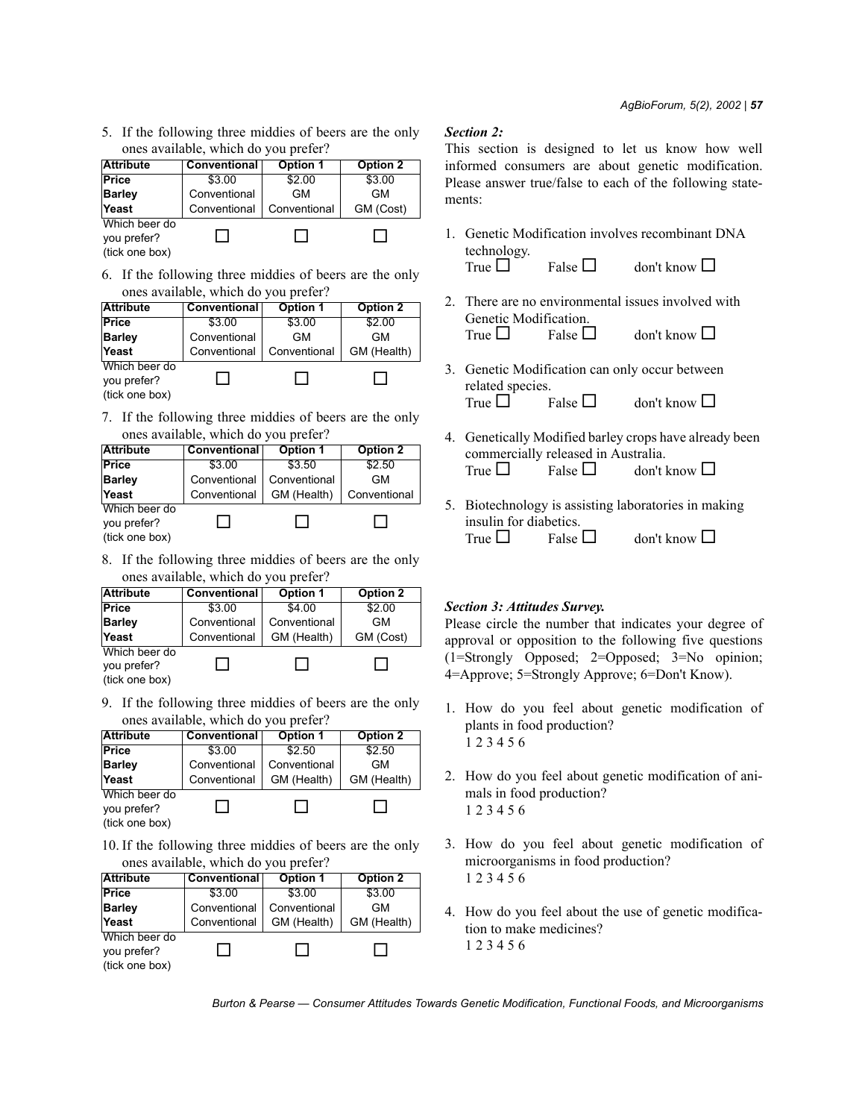5. If the following three middies of beers are the only ones available, which do you prefer?

| <b>Attribute</b>                                                             | Conventional | <b>Option 1</b> | Option 2  |
|------------------------------------------------------------------------------|--------------|-----------------|-----------|
| <b>Price</b>                                                                 | \$3.00       | \$2.00          | \$3.00    |
| <b>Barley</b>                                                                | Conventional | GM              | <b>GM</b> |
| Yeast                                                                        | Conventional | Conventional    | GM (Cost) |
| Which beer do<br>you prefer?<br>$\theta$ $\theta$ $\theta$ $\theta$ $\theta$ |              |                 |           |

(tick one box)

6. If the following three middies of beers are the only ones available, which do you prefer?

| <b>Attribute</b>                               | Conventional | <b>Option 1</b> | <b>Option 2</b> |
|------------------------------------------------|--------------|-----------------|-----------------|
| <b>Price</b>                                   | \$3.00       | \$3.00          | \$2.00          |
| <b>Barley</b>                                  | Conventional | <b>GM</b>       | <b>GM</b>       |
| Yeast                                          | Conventional | Conventional    | GM (Health)     |
| Which beer do<br>you prefer?<br>(tick one box) |              |                 |                 |

7. If the following three middies of beers are the only ones available, which do you prefer?

| <b>Attribute</b>                               | Conventional | <b>Option 1</b> | <b>Option 2</b> |
|------------------------------------------------|--------------|-----------------|-----------------|
| <b>Price</b>                                   | \$3.00       | \$3.50          | \$2.50          |
| <b>Barley</b>                                  | Conventional | Conventional    | <b>GM</b>       |
| Yeast                                          | Conventional | GM (Health)     | Conventional    |
| Which beer do<br>you prefer?<br>(tick one box) |              |                 |                 |

8. If the following three middies of beers are the only ones available, which do you prefer?

| <b>Attribute</b>                               | Conventional | Option 1     | Option 2  |
|------------------------------------------------|--------------|--------------|-----------|
| <b>Price</b>                                   | \$3.00       | \$4.00       | \$2.00    |
| <b>Barley</b>                                  | Conventional | Conventional | <b>GM</b> |
| Yeast                                          | Conventional | GM (Health)  | GM (Cost) |
| Which beer do<br>you prefer?<br>(tick one box) |              |              | $\sim$    |

9. If the following three middies of beers are the only ones available, which do you prefer?

| <b>Attribute</b> | Conventional | <b>Option 1</b> | <b>Option 2</b> |
|------------------|--------------|-----------------|-----------------|
| <b>Price</b>     | \$3.00       | \$2.50          | \$2.50          |
| <b>Barley</b>    | Conventional | Conventional    | GM              |
| Yeast            | Conventional | GM (Health)     | GM (Health)     |
| Which beer do    |              |                 |                 |
| you prefer?      |              |                 |                 |
| (tick one box)   |              |                 |                 |

10. If the following three middies of beers are the only ones available, which do you prefer?

| <b>Attribute</b> | Conventional | <b>Option 1</b> | <b>Option 2</b> |
|------------------|--------------|-----------------|-----------------|
| Price            | \$3.00       | \$3.00          | \$3.00          |
| <b>Barley</b>    | Conventional | Conventional    | <b>GM</b>       |
| Yeast            | Conventional | GM (Health)     | GM (Health)     |
| Which beer do    |              |                 |                 |
| you prefer?      |              |                 |                 |
| (tick one box)   |              |                 |                 |

### *Section 2:*

This section is designed to let us know how well informed consumers are about genetic modification. Please answer true/false to each of the following statements:

- 1. Genetic Modification involves recombinant DNA technology. True  $\Box$  False  $\Box$  don't know  $\Box$
- 2. There are no environmental issues involved with Genetic Modification.
	- True  $\Box$  False  $\Box$  don't know  $\Box$
- 3. Genetic Modification can only occur between related species. True  $\Box$  False  $\Box$  don't know  $\Box$
- 4. Genetically Modified barley crops have already been commercially released in Australia. True  $\Box$  Ealse  $\Box$  don't know  $\Box$
- 5. Biotechnology is assisting laboratories in making insulin for diabetics. True  $\Box$  False  $\Box$  don't know  $\Box$

## *Section 3: Attitudes Survey.*

Please circle the number that indicates your degree of approval or opposition to the following five questions (1=Strongly Opposed; 2=Opposed; 3=No opinion; 4=Approve; 5=Strongly Approve; 6=Don't Know).

- 1. How do you feel about genetic modification of plants in food production? 1 2 3 4 5 6
- 2. How do you feel about genetic modification of animals in food production? 1 2 3 4 5 6
- 3. How do you feel about genetic modification of microorganisms in food production? 1 2 3 4 5 6
- 4. How do you feel about the use of genetic modification to make medicines? 1 2 3 4 5 6

Burton & Pearse — Consumer Attitudes Towards Genetic Modification, Functional Foods, and Microorganisms